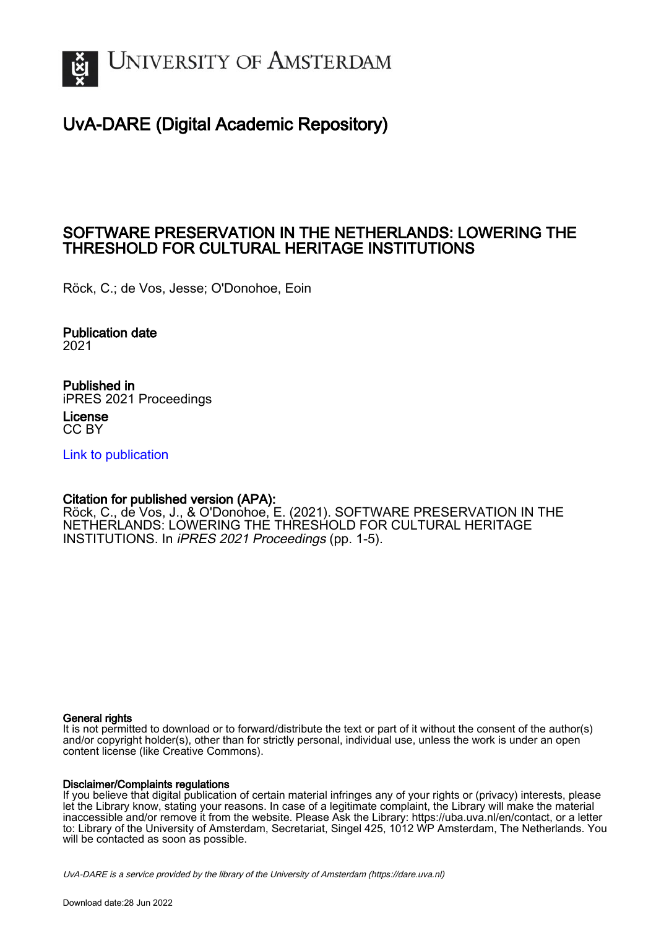

# UvA-DARE (Digital Academic Repository)

## SOFTWARE PRESERVATION IN THE NETHERLANDS: LOWERING THE THRESHOLD FOR CULTURAL HERITAGE INSTITUTIONS

Röck, C.; de Vos, Jesse; O'Donohoe, Eoin

Publication date 2021

Published in iPRES 2021 Proceedings

License CC BY

[Link to publication](https://dare.uva.nl/personal/pure/en/publications/software-preservation-in-the-netherlands-lowering-the-threshold-for-cultural-heritage-institutions(113aa3ce-ad7a-4a7d-80ca-dedb903901d5).html)

### Citation for published version (APA):

Röck, C., de Vos, J., & O'Donohoe, E. (2021). SOFTWARE PRESERVATION IN THE NETHERLANDS: LOWERING THE THRESHOLD FOR CULTURAL HERITAGE INSTITUTIONS. In iPRES 2021 Proceedings (pp. 1-5).

#### General rights

It is not permitted to download or to forward/distribute the text or part of it without the consent of the author(s) and/or copyright holder(s), other than for strictly personal, individual use, unless the work is under an open content license (like Creative Commons).

#### Disclaimer/Complaints regulations

If you believe that digital publication of certain material infringes any of your rights or (privacy) interests, please let the Library know, stating your reasons. In case of a legitimate complaint, the Library will make the material inaccessible and/or remove it from the website. Please Ask the Library: https://uba.uva.nl/en/contact, or a letter to: Library of the University of Amsterdam, Secretariat, Singel 425, 1012 WP Amsterdam, The Netherlands. You will be contacted as soon as possible.

UvA-DARE is a service provided by the library of the University of Amsterdam (http*s*://dare.uva.nl)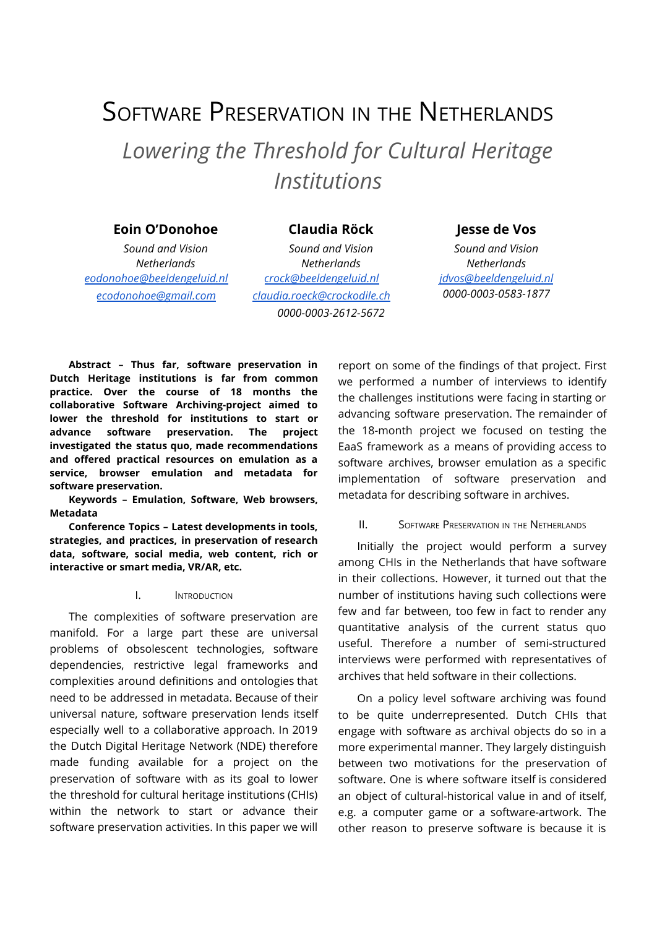# SOFTWARE PRESERVATION IN THE NETHERLANDS *Lowering the Threshold for Cultural Heritage Institutions*

#### **Eoin O'Donohoe Claudia Röck Jesse de Vos**

*Sound and Vision Netherlands [eodonohoe@beeldengeluid.nl](mailto:eodonohoe@beeldengeluid.nl) [ecodonohoe@gmail.com](mailto:ecodonohoe@gmail.com)*

*Sound and Vision Netherlands [crock@beeldengeluid.nl](mailto:crock@beeldengeluid.nl) [claudia.roeck@crockodile.ch](mailto:claudia.roeck@crockodile.ch) 0000-0003-2612-5672*

*Sound and Vision Netherlands [jdvos@beeldengeluid.nl](mailto:jdvos@beeldengeluid.nl) 0000-0003-0583-1877*

**Abstract – Thus far, software preservation in Dutch Heritage institutions is far from common practice. Over the course of 18 months the collaborative Software Archiving-project aimed to lower the threshold for institutions to start or advance software preservation. The project investigated the status quo, made recommendations and offered practical resources on emulation as a service, browser emulation and metadata for software preservation.**

**Keywords – Emulation, Software, Web browsers, Metadata**

**Conference Topics – Latest developments in tools, strategies, and practices, in preservation of research data, software, social media, web content, rich or interactive or smart media, VR/AR, etc.**

#### I. INTRODUCTION

The complexities of software preservation are manifold. For a large part these are universal problems of obsolescent technologies, software dependencies, restrictive legal frameworks and complexities around definitions and ontologies that need to be addressed in metadata. Because of their universal nature, software preservation lends itself especially well to a collaborative approach. In 2019 the Dutch Digital Heritage Network (NDE) therefore made funding available for a project on the preservation of software with as its goal to lower the threshold for cultural heritage institutions (CHIs) within the network to start or advance their software preservation activities. In this paper we will report on some of the findings of that project. First we performed a number of interviews to identify the challenges institutions were facing in starting or advancing software preservation. The remainder of the 18-month project we focused on testing the EaaS framework as a means of providing access to software archives, browser emulation as a specific implementation of software preservation and metadata for describing software in archives.

II. SOFTWARE PRESERVATION IN THE NETHERLANDS

Initially the project would perform a survey among CHIs in the Netherlands that have software in their collections. However, it turned out that the number of institutions having such collections were few and far between, too few in fact to render any quantitative analysis of the current status quo useful. Therefore a number of semi-structured interviews were performed with representatives of archives that held software in their collections.

On a policy level software archiving was found to be quite underrepresented. Dutch CHIs that engage with software as archival objects do so in a more experimental manner. They largely distinguish between two motivations for the preservation of software. One is where software itself is considered an object of cultural-historical value in and of itself, e.g. a computer game or a software-artwork. The other reason to preserve software is because it is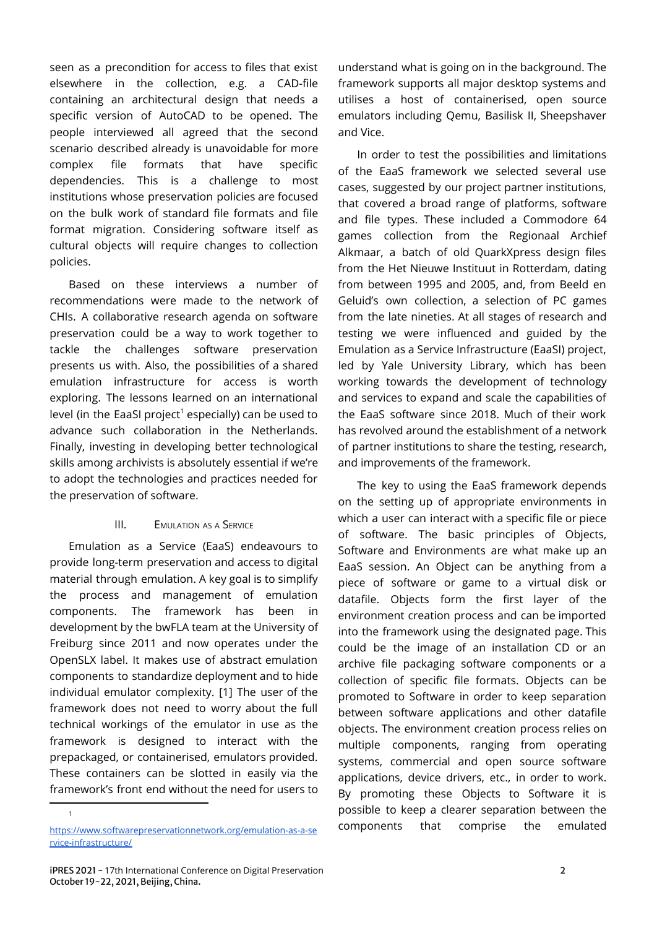seen as a precondition for access to files that exist elsewhere in the collection, e.g. a CAD-file containing an architectural design that needs a specific version of AutoCAD to be opened. The people interviewed all agreed that the second scenario described already is unavoidable for more complex file formats that have specific dependencies. This is a challenge to most institutions whose preservation policies are focused on the bulk work of standard file formats and file format migration. Considering software itself as cultural objects will require changes to collection policies.

Based on these interviews a number of recommendations were made to the network of CHIs. A collaborative research agenda on software preservation could be a way to work together to tackle the challenges software preservation presents us with. Also, the possibilities of a shared emulation infrastructure for access is worth exploring. The lessons learned on an international level (in the EaaSI project<sup>1</sup> especially) can be used to advance such collaboration in the Netherlands. Finally, investing in developing better technological skills among archivists is absolutely essential if we're to adopt the technologies and practices needed for the preservation of software.

### **III.** EMULATION AS A SERVICE

Emulation as a Service (EaaS) endeavours to provide long-term preservation and access to digital material through emulation. A key goal is to simplify the process and management of emulation components. The framework has been in development by the bwFLA team at the University of Freiburg since 2011 and now operates under the OpenSLX label. It makes use of abstract emulation components to standardize deployment and to hide individual emulator complexity. [1] The user of the framework does not need to worry about the full technical workings of the emulator in use as the framework is designed to interact with the prepackaged, or containerised, emulators provided. These containers can be slotted in easily via the framework's front end without the need for users to

1

understand what is going on in the background. The framework supports all major desktop systems and utilises a host of containerised, open source emulators including Qemu, Basilisk II, Sheepshaver and Vice.

In order to test the possibilities and limitations of the EaaS framework we selected several use cases, suggested by our project partner institutions, that covered a broad range of platforms, software and file types. These included a Commodore 64 games collection from the Regionaal Archief Alkmaar, a batch of old QuarkXpress design files from the Het Nieuwe Instituut in Rotterdam, dating from between 1995 and 2005, and, from Beeld en Geluid's own collection, a selection of PC games from the late nineties. At all stages of research and testing we were influenced and guided by the Emulation as a Service Infrastructure (EaaSI) project, led by Yale University Library, which has been working towards the development of technology and services to expand and scale the capabilities of the EaaS software since 2018. Much of their work has revolved around the establishment of a network of partner institutions to share the testing, research, and improvements of the framework.

The key to using the EaaS framework depends on the setting up of appropriate environments in which a user can interact with a specific file or piece of software. The basic principles of Objects, Software and Environments are what make up an EaaS session. An Object can be anything from a piece of software or game to a virtual disk or datafile. Objects form the first layer of the environment creation process and can be imported into the framework using the designated page. This could be the image of an installation CD or an archive file packaging software components or a collection of specific file formats. Objects can be promoted to Software in order to keep separation between software applications and other datafile objects. The environment creation process relies on multiple components, ranging from operating systems, commercial and open source software applications, device drivers, etc., in order to work. By promoting these Objects to Software it is possible to keep a clearer separation between the components that comprise the emulated

[https://www.softwarepreservationnetwork.org/emulation-as-a-se](https://www.softwarepreservationnetwork.org/emulation-as-a-service-infrastructure/) [rvice-infrastructure/](https://www.softwarepreservationnetwork.org/emulation-as-a-service-infrastructure/)

iPRES 2021 - 17th International Conference on Digital Preservation 2 October 19-22, 2021, Beijing, China.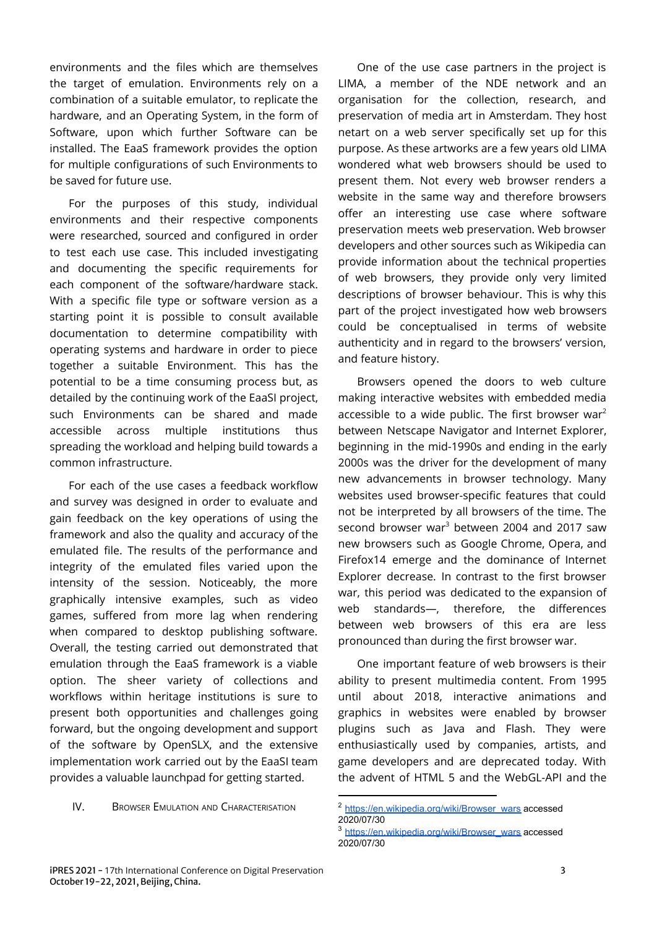environments and the files which are themselves the target of emulation. Environments rely on a combination of a suitable emulator, to replicate the hardware, and an Operating System, in the form of Software, upon which further Software can be installed. The EaaS framework provides the option for multiple configurations of such Environments to be saved for future use.

For the purposes of this study, individual environments and their respective components were researched, sourced and configured in order to test each use case. This included investigating and documenting the specific requirements for each component of the software/hardware stack. With a specific file type or software version as a starting point it is possible to consult available documentation to determine compatibility with operating systems and hardware in order to piece together a suitable Environment. This has the potential to be a time consuming process but, as detailed by the continuing work of the EaaSI project, such Environments can be shared and made accessible across multiple institutions thus spreading the workload and helping build towards a common infrastructure.

For each of the use cases a feedback workflow and survey was designed in order to evaluate and gain feedback on the key operations of using the framework and also the quality and accuracy of the emulated file. The results of the performance and integrity of the emulated files varied upon the intensity of the session. Noticeably, the more graphically intensive examples, such as video games, suffered from more lag when rendering when compared to desktop publishing software. Overall, the testing carried out demonstrated that emulation through the EaaS framework is a viable option. The sheer variety of collections and workflows within heritage institutions is sure to present both opportunities and challenges going forward, but the ongoing development and support of the software by OpenSLX, and the extensive implementation work carried out by the EaaSI team provides a valuable launchpad for getting started.

IV. BROWSER EMULATION AND CHARACTERISATION

One of the use case partners in the project is LIMA, a member of the NDE network and an organisation for the collection, research, and preservation of media art in Amsterdam. They host netart on a web server specifically set up for this purpose. As these artworks are a few years old LIMA wondered what web browsers should be used to present them. Not every web browser renders a website in the same way and therefore browsers offer an interesting use case where software preservation meets web preservation. Web browser developers and other sources such as Wikipedia can provide information about the technical properties of web browsers, they provide only very limited descriptions of browser behaviour. This is why this part of the project investigated how web browsers could be conceptualised in terms of website authenticity and in regard to the browsers' version, and feature history.

Browsers opened the doors to web culture making interactive websites with embedded media accessible to a wide public. The first browser war<sup>2</sup> between Netscape Navigator and Internet Explorer, beginning in the mid-1990s and ending in the early 2000s was the driver for the development of many new advancements in browser technology. Many websites used browser-specific features that could not be interpreted by all browsers of the time. The second browser war <sup>3</sup> between 2004 and 2017 saw new browsers such as Google Chrome, Opera, and Firefox14 emerge and the dominance of Internet Explorer decrease. In contrast to the first browser war, this period was dedicated to the expansion of web standards—, therefore, the differences between web browsers of this era are less pronounced than during the first browser war.

One important feature of web browsers is their ability to present multimedia content. From 1995 until about 2018, interactive animations and graphics in websites were enabled by browser plugins such as Java and Flash. They were enthusiastically used by companies, artists, and game developers and are deprecated today. With the advent of HTML 5 and the WebGL-API and the

<sup>2</sup> [https://en.wikipedia.org/wiki/Browser\\_wars](https://en.wikipedia.org/wiki/Browser_wars) accessed 2020/07/30

<sup>3</sup> [https://en.wikipedia.org/wiki/Browser\\_wars](https://en.wikipedia.org/wiki/Browser_wars) accessed 2020/07/30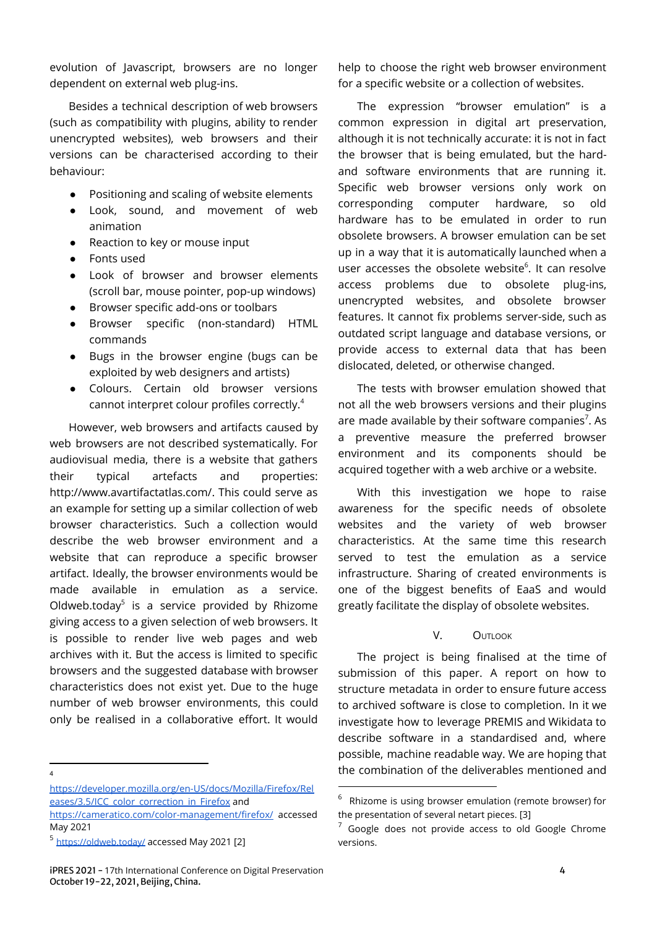evolution of Javascript, browsers are no longer dependent on external web plug-ins.

Besides a technical description of web browsers (such as compatibility with plugins, ability to render unencrypted websites), web browsers and their versions can be characterised according to their behaviour:

- Positioning and scaling of website elements
- Look, sound, and movement of web animation
- Reaction to key or mouse input
- Fonts used
- Look of browser and browser elements (scroll bar, mouse pointer, pop-up windows)
- Browser specific add-ons or toolbars
- Browser specific (non-standard) HTML commands
- Bugs in the browser engine (bugs can be exploited by web designers and artists)
- Colours. Certain old browser versions cannot interpret colour profiles correctly. 4

However, web browsers and artifacts caused by web browsers are not described systematically. For audiovisual media, there is a website that gathers their typical artefacts and properties: <http://www.avartifactatlas.com/>. This could serve as an example for setting up a similar collection of web browser characteristics. Such a collection would describe the web browser environment and a website that can reproduce a specific browser artifact. Ideally, the browser environments would be made available in emulation as a service. [Oldweb.today](https://oldweb.today/)<sup>5</sup> is a service provided by Rhizome giving access to a given selection of web browsers. It is possible to render live web pages and web archives with it. But the access is limited to specific browsers and the suggested database with browser characteristics does not exist yet. Due to the huge number of web browser environments, this could only be realised in a collaborative effort. It would

4

help to choose the right web browser environment for a specific website or a collection of websites.

The expression "browser emulation" is a common expression in digital art preservation, although it is not technically accurate: it is not in fact the browser that is being emulated, but the hardand software environments that are running it. Specific web browser versions only work on corresponding computer hardware, so old hardware has to be emulated in order to run obsolete browsers. A browser emulation can be set up in a way that it is automatically launched when a user accesses the obsolete website 6 . It can resolve access problems due to obsolete plug-ins, unencrypted websites, and obsolete browser features. It cannot fix problems server-side, such as outdated script language and database versions, or provide access to external data that has been dislocated, deleted, or otherwise changed.

The tests with browser emulation showed that not all the web browsers versions and their plugins are made available by their software companies<sup>7</sup>. As a preventive measure the preferred browser environment and its components should be acquired together with a web archive or a website.

With this investigation we hope to raise awareness for the specific needs of obsolete websites and the variety of web browser characteristics. At the same time this research served to test the emulation as a service infrastructure. Sharing of created environments is one of the biggest benefits of EaaS and would greatly facilitate the display of obsolete websites.

V. OUTLOOK

The project is being finalised at the time of submission of this paper. A report on how to structure metadata in order to ensure future access to archived software is close to completion. In it we investigate how to leverage PREMIS and Wikidata to describe software in a standardised and, where possible, machine readable way. We are hoping that the combination of the deliverables mentioned and

[https://developer.mozilla.org/en-US/docs/Mozilla/Firefox/Rel](https://developer.mozilla.org/en-US/docs/Mozilla/Firefox/Releases/3.5/ICC_color_correction_in_Firefox) [eases/3.5/ICC\\_color\\_correction\\_in\\_Firefox](https://developer.mozilla.org/en-US/docs/Mozilla/Firefox/Releases/3.5/ICC_color_correction_in_Firefox) and

<https://cameratico.com/color-management/firefox/> accessed May 2021

<sup>5</sup> <https://oldweb.today/> accessed May 2021 [2]

iPRES 2021 - 17th International Conference on Digital Preservation 4 October 19-22, 2021, Beijing, China.

 $6$  Rhizome is using browser emulation (remote browser) for the presentation of several netart pieces. [3]

 $7$  Google does not provide access to old Google Chrome versions.